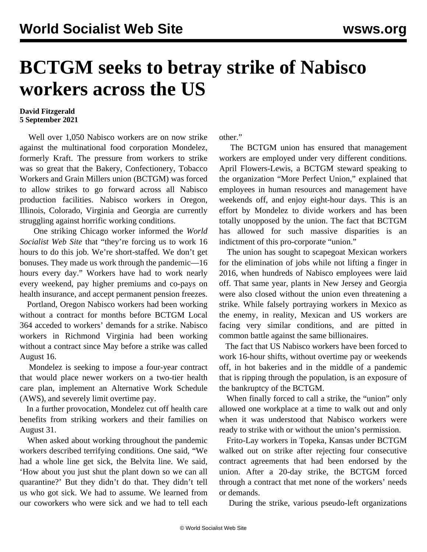## **BCTGM seeks to betray strike of Nabisco workers across the US**

## **David Fitzgerald 5 September 2021**

 Well over 1,050 Nabisco workers are on now strike against the multinational food corporation Mondelez, formerly Kraft. The pressure from workers to strike was so great that the Bakery, Confectionery, Tobacco Workers and Grain Millers union (BCTGM) was forced to allow strikes to go forward across all Nabisco production facilities. Nabisco workers in Oregon, Illinois, Colorado, Virginia and Georgia are currently struggling against horrific working conditions.

 One striking Chicago worker informed the *World Socialist Web Site* that "they're forcing us to work 16 hours to do this job. We're short-staffed. We don't get bonuses. They made us work through the pandemic—16 hours every day." Workers have had to work nearly every weekend, pay higher premiums and co-pays on health insurance, and accept permanent pension freezes.

 Portland, Oregon Nabisco workers had been working without a contract for months before BCTGM Local 364 acceded to workers' demands for a strike. Nabisco workers in Richmond Virginia had been working without a contract since May before a strike was called August 16.

 Mondelez is seeking to impose a four-year contract that would place newer workers on a two-tier health care plan, implement an Alternative Work Schedule (AWS), and severely limit overtime pay.

 In a further provocation, Mondelez cut off health care benefits from striking workers and their families on August 31.

 When asked about working throughout the pandemic workers described terrifying conditions. One said, "We had a whole line get sick, the Belvita line. We said, 'How about you just shut the plant down so we can all quarantine?' But they didn't do that. They didn't tell us who got sick. We had to assume. We learned from our coworkers who were sick and we had to tell each other."

 The BCTGM union has ensured that management workers are employed under very different conditions. April Flowers-Lewis, a BCTGM steward speaking to the organization "More Perfect Union," explained that employees in human resources and management have weekends off, and enjoy eight-hour days. This is an effort by Mondelez to divide workers and has been totally unopposed by the union. The fact that BCTGM has allowed for such massive disparities is an indictment of this pro-corporate "union."

 The union has sought to scapegoat Mexican workers for the elimination of jobs while not lifting a finger in 2016, when hundreds of Nabisco employees were laid off. That same year, plants in New Jersey and Georgia were also closed without the union even threatening a strike. While falsely portraying workers in Mexico as the enemy, in reality, Mexican and US workers are facing very similar conditions, and are pitted in common battle against the same billionaires.

 The fact that US Nabisco workers have been forced to work 16-hour shifts, without overtime pay or weekends off, in hot bakeries and in the middle of a pandemic that is ripping through the population, is an exposure of the bankruptcy of the BCTGM.

 When finally forced to call a strike, the "union" only allowed one workplace at a time to walk out and only when it was understood that Nabisco workers were ready to strike with or without the union's permission.

 Frito-Lay workers in Topeka, Kansas under BCTGM walked out on strike after rejecting four consecutive contract agreements that had been endorsed by the union. After a 20-day strike, the BCTGM forced through a contract that met none of the workers' needs or demands.

During the strike, various pseudo-left organizations